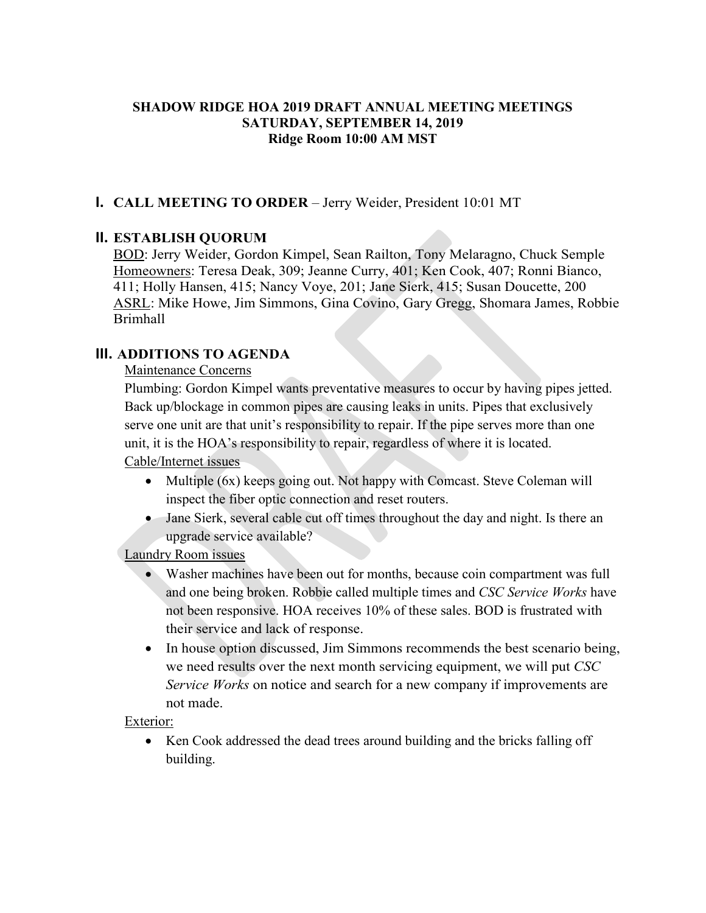#### **SHADOW RIDGE HOA 2019 DRAFT ANNUAL MEETING MEETINGS SATURDAY, SEPTEMBER 14, 2019 Ridge Room 10:00 AM MST**

### **I. CALL MEETING TO ORDER** – Jerry Weider, President 10:01 MT

### **II. ESTABLISH QUORUM**

BOD: Jerry Weider, Gordon Kimpel, Sean Railton, Tony Melaragno, Chuck Semple Homeowners: Teresa Deak, 309; Jeanne Curry, 401; Ken Cook, 407; Ronni Bianco, 411; Holly Hansen, 415; Nancy Voye, 201; Jane Sierk, 415; Susan Doucette, 200 ASRL: Mike Howe, Jim Simmons, Gina Covino, Gary Gregg, Shomara James, Robbie Brimhall

#### **III. ADDITIONS TO AGENDA**

Maintenance Concerns

Plumbing: Gordon Kimpel wants preventative measures to occur by having pipes jetted. Back up/blockage in common pipes are causing leaks in units. Pipes that exclusively serve one unit are that unit's responsibility to repair. If the pipe serves more than one unit, it is the HOA's responsibility to repair, regardless of where it is located. Cable/Internet issues

- Multiple (6x) keeps going out. Not happy with Comcast. Steve Coleman will inspect the fiber optic connection and reset routers.
- Jane Sierk, several cable cut off times throughout the day and night. Is there an upgrade service available?

Laundry Room issues

- Washer machines have been out for months, because coin compartment was full and one being broken. Robbie called multiple times and *CSC Service Works* have not been responsive. HOA receives 10% of these sales. BOD is frustrated with their service and lack of response.
- In house option discussed, Jim Simmons recommends the best scenario being, we need results over the next month servicing equipment, we will put *CSC Service Works* on notice and search for a new company if improvements are not made.

Exterior:

• Ken Cook addressed the dead trees around building and the bricks falling off building.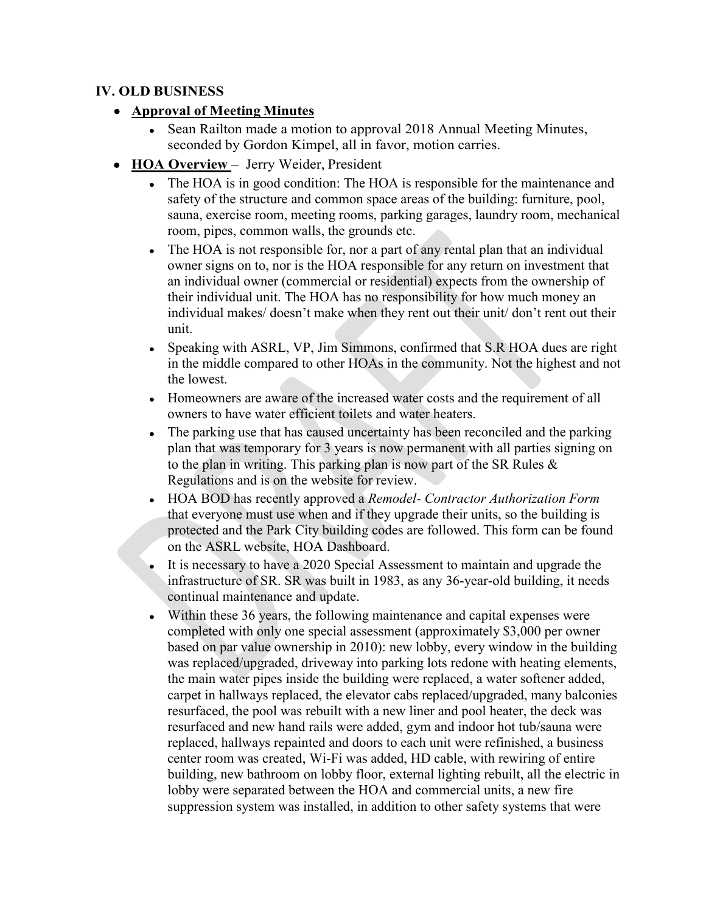### **IV. OLD BUSINESS**

- **Approval of Meeting Minutes**
	- Sean Railton made a motion to approval 2018 Annual Meeting Minutes, seconded by Gordon Kimpel, all in favor, motion carries.
- **HOA Overview**  Jerry Weider, President
	- The HOA is in good condition: The HOA is responsible for the maintenance and safety of the structure and common space areas of the building: furniture, pool, sauna, exercise room, meeting rooms, parking garages, laundry room, mechanical room, pipes, common walls, the grounds etc.
	- The HOA is not responsible for, nor a part of any rental plan that an individual owner signs on to, nor is the HOA responsible for any return on investment that an individual owner (commercial or residential) expects from the ownership of their individual unit. The HOA has no responsibility for how much money an individual makes/ doesn't make when they rent out their unit/ don't rent out their unit.
	- Speaking with ASRL, VP, Jim Simmons, confirmed that S.R HOA dues are right in the middle compared to other HOAs in the community. Not the highest and not the lowest.
	- Homeowners are aware of the increased water costs and the requirement of all owners to have water efficient toilets and water heaters.
	- The parking use that has caused uncertainty has been reconciled and the parking plan that was temporary for 3 years is now permanent with all parties signing on to the plan in writing. This parking plan is now part of the SR Rules & Regulations and is on the website for review.
	- HOA BOD has recently approved a *Remodel- Contractor Authorization Form* that everyone must use when and if they upgrade their units, so the building is protected and the Park City building codes are followed. This form can be found on the ASRL website, HOA Dashboard.
	- It is necessary to have a 2020 Special Assessment to maintain and upgrade the infrastructure of SR. SR was built in 1983, as any 36-year-old building, it needs continual maintenance and update.
	- Within these 36 years, the following maintenance and capital expenses were completed with only one special assessment (approximately \$3,000 per owner based on par value ownership in 2010): new lobby, every window in the building was replaced/upgraded, driveway into parking lots redone with heating elements, the main water pipes inside the building were replaced, a water softener added, carpet in hallways replaced, the elevator cabs replaced/upgraded, many balconies resurfaced, the pool was rebuilt with a new liner and pool heater, the deck was resurfaced and new hand rails were added, gym and indoor hot tub/sauna were replaced, hallways repainted and doors to each unit were refinished, a business center room was created, Wi-Fi was added, HD cable, with rewiring of entire building, new bathroom on lobby floor, external lighting rebuilt, all the electric in lobby were separated between the HOA and commercial units, a new fire suppression system was installed, in addition to other safety systems that were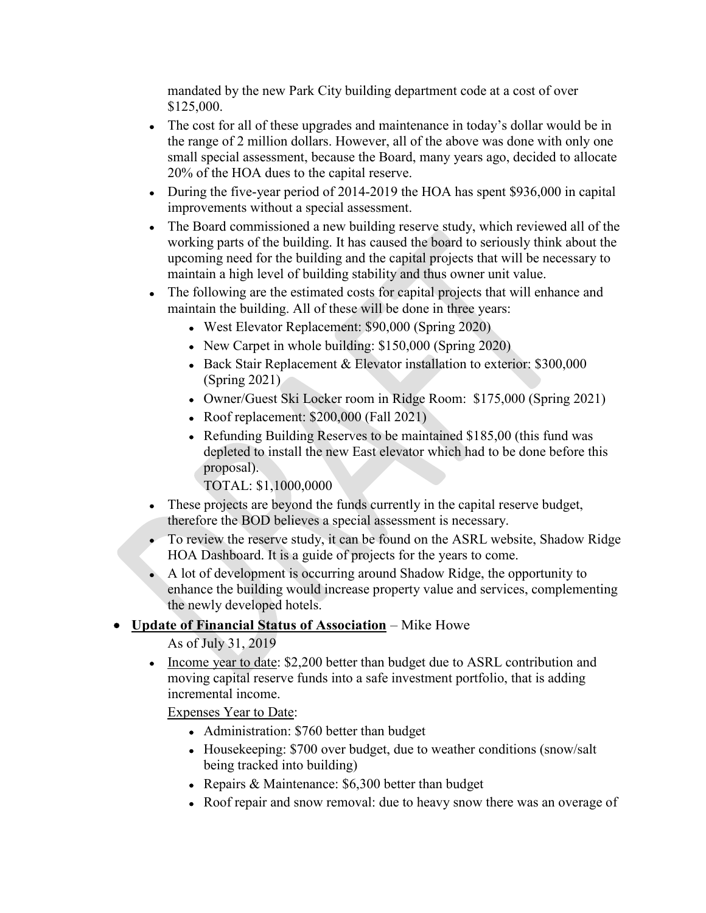mandated by the new Park City building department code at a cost of over \$125,000.

- The cost for all of these upgrades and maintenance in today's dollar would be in the range of 2 million dollars. However, all of the above was done with only one small special assessment, because the Board, many years ago, decided to allocate 20% of the HOA dues to the capital reserve.
- During the five-year period of 2014-2019 the HOA has spent \$936,000 in capital improvements without a special assessment.
- The Board commissioned a new building reserve study, which reviewed all of the working parts of the building. It has caused the board to seriously think about the upcoming need for the building and the capital projects that will be necessary to maintain a high level of building stability and thus owner unit value.
- The following are the estimated costs for capital projects that will enhance and maintain the building. All of these will be done in three years:
	- West Elevator Replacement: \$90,000 (Spring 2020)
	- New Carpet in whole building: \$150,000 (Spring 2020)
	- Back Stair Replacement & Elevator installation to exterior: \$300,000 (Spring 2021)
	- Owner/Guest Ski Locker room in Ridge Room: \$175,000 (Spring 2021)
	- Roof replacement: \$200,000 (Fall 2021)
	- Refunding Building Reserves to be maintained \$185,00 (this fund was depleted to install the new East elevator which had to be done before this proposal).
		- TOTAL: \$1,1000,0000
- These projects are beyond the funds currently in the capital reserve budget, therefore the BOD believes a special assessment is necessary.
- To review the reserve study, it can be found on the ASRL website, Shadow Ridge HOA Dashboard. It is a guide of projects for the years to come.
- A lot of development is occurring around Shadow Ridge, the opportunity to enhance the building would increase property value and services, complementing the newly developed hotels.

## • **Update of Financial Status of Association** – Mike Howe

As of July 31, 2019

• Income year to date: \$2,200 better than budget due to ASRL contribution and moving capital reserve funds into a safe investment portfolio, that is adding incremental income.

Expenses Year to Date:

- Administration: \$760 better than budget
- Housekeeping: \$700 over budget, due to weather conditions (snow/salt) being tracked into building)
- Repairs & Maintenance: \$6,300 better than budget
- Roof repair and snow removal: due to heavy snow there was an overage of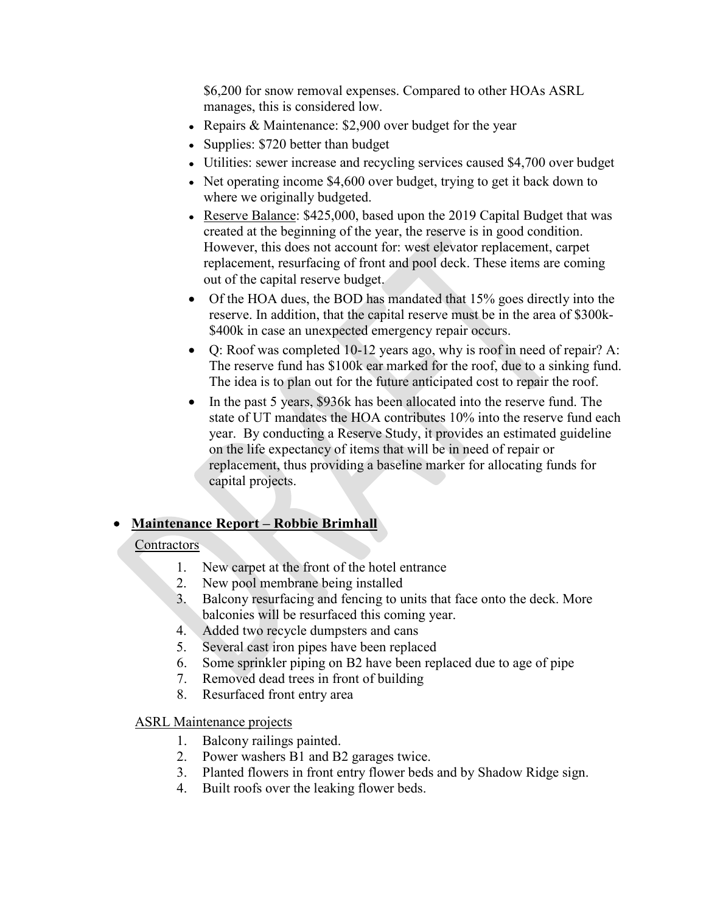\$6,200 for snow removal expenses. Compared to other HOAs ASRL manages, this is considered low.

- Repairs & Maintenance: \$2,900 over budget for the year
- Supplies: \$720 better than budget
- Utilities: sewer increase and recycling services caused \$4,700 over budget
- Net operating income \$4,600 over budget, trying to get it back down to where we originally budgeted.
- Reserve Balance: \$425,000, based upon the 2019 Capital Budget that was created at the beginning of the year, the reserve is in good condition. However, this does not account for: west elevator replacement, carpet replacement, resurfacing of front and pool deck. These items are coming out of the capital reserve budget.
- Of the HOA dues, the BOD has mandated that 15% goes directly into the reserve. In addition, that the capital reserve must be in the area of \$300k- \$400k in case an unexpected emergency repair occurs.
- Q: Roof was completed 10-12 years ago, why is roof in need of repair? A: The reserve fund has \$100k ear marked for the roof, due to a sinking fund. The idea is to plan out for the future anticipated cost to repair the roof.
- In the past 5 years, \$936k has been allocated into the reserve fund. The state of UT mandates the HOA contributes 10% into the reserve fund each year. By conducting a Reserve Study, it provides an estimated guideline on the life expectancy of items that will be in need of repair or replacement, thus providing a baseline marker for allocating funds for capital projects.

# • **Maintenance Report – Robbie Brimhall**

## **Contractors**

- 1. New carpet at the front of the hotel entrance
- 2. New pool membrane being installed
- 3. Balcony resurfacing and fencing to units that face onto the deck. More balconies will be resurfaced this coming year.
- 4. Added two recycle dumpsters and cans
- 5. Several cast iron pipes have been replaced
- 6. Some sprinkler piping on B2 have been replaced due to age of pipe
- 7. Removed dead trees in front of building
- 8. Resurfaced front entry area

### ASRL Maintenance projects

- 1. Balcony railings painted.
- 2. Power washers B1 and B2 garages twice.
- 3. Planted flowers in front entry flower beds and by Shadow Ridge sign.
- 4. Built roofs over the leaking flower beds.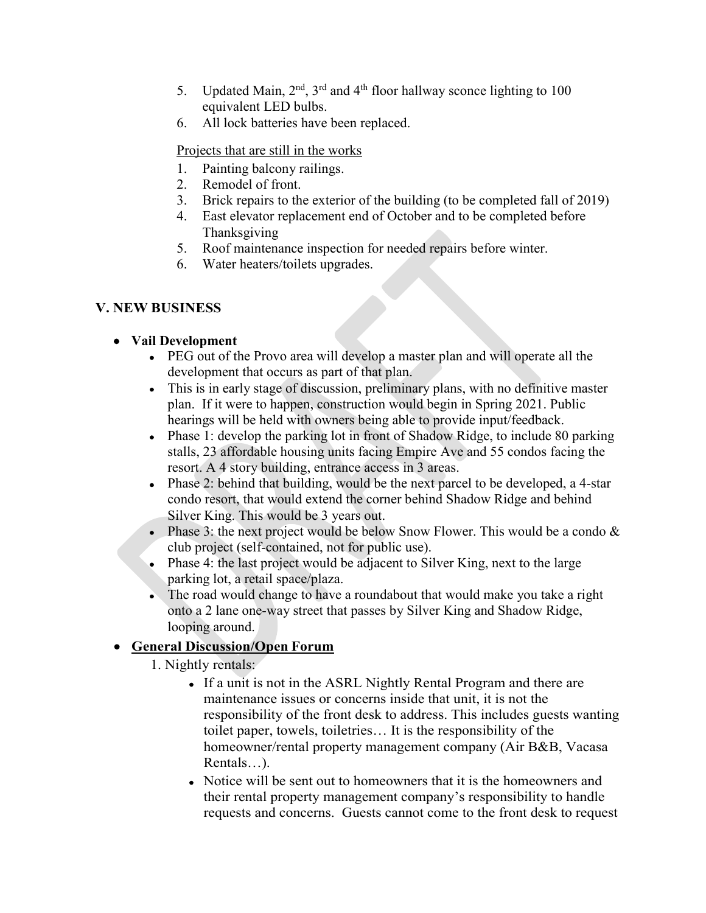- 5. Updated Main,  $2<sup>nd</sup>$ ,  $3<sup>rd</sup>$  and  $4<sup>th</sup>$  floor hallway sconce lighting to 100 equivalent LED bulbs.
- 6. All lock batteries have been replaced.

Projects that are still in the works

- 1. Painting balcony railings.
- 2. Remodel of front.
- 3. Brick repairs to the exterior of the building (to be completed fall of 2019)
- 4. East elevator replacement end of October and to be completed before Thanksgiving
- 5. Roof maintenance inspection for needed repairs before winter.
- 6. Water heaters/toilets upgrades.

# **V. NEW BUSINESS**

## • **Vail Development**

- PEG out of the Provo area will develop a master plan and will operate all the development that occurs as part of that plan.
- This is in early stage of discussion, preliminary plans, with no definitive master plan. If it were to happen, construction would begin in Spring 2021. Public hearings will be held with owners being able to provide input/feedback.
- Phase 1: develop the parking lot in front of Shadow Ridge, to include 80 parking stalls, 23 affordable housing units facing Empire Ave and 55 condos facing the resort. A 4 story building, entrance access in 3 areas.
- Phase 2: behind that building, would be the next parcel to be developed, a 4-star condo resort, that would extend the corner behind Shadow Ridge and behind Silver King. This would be 3 years out.
- Phase 3: the next project would be below Snow Flower. This would be a condo  $\&$ club project (self-contained, not for public use).
- Phase 4: the last project would be adjacent to Silver King, next to the large parking lot, a retail space/plaza.
- The road would change to have a roundabout that would make you take a right onto a 2 lane one-way street that passes by Silver King and Shadow Ridge, looping around.

# • **General Discussion/Open Forum**

- 1. Nightly rentals:
	- If a unit is not in the ASRL Nightly Rental Program and there are maintenance issues or concerns inside that unit, it is not the responsibility of the front desk to address. This includes guests wanting toilet paper, towels, toiletries… It is the responsibility of the homeowner/rental property management company (Air B&B, Vacasa Rentals…).
	- Notice will be sent out to homeowners that it is the homeowners and their rental property management company's responsibility to handle requests and concerns. Guests cannot come to the front desk to request